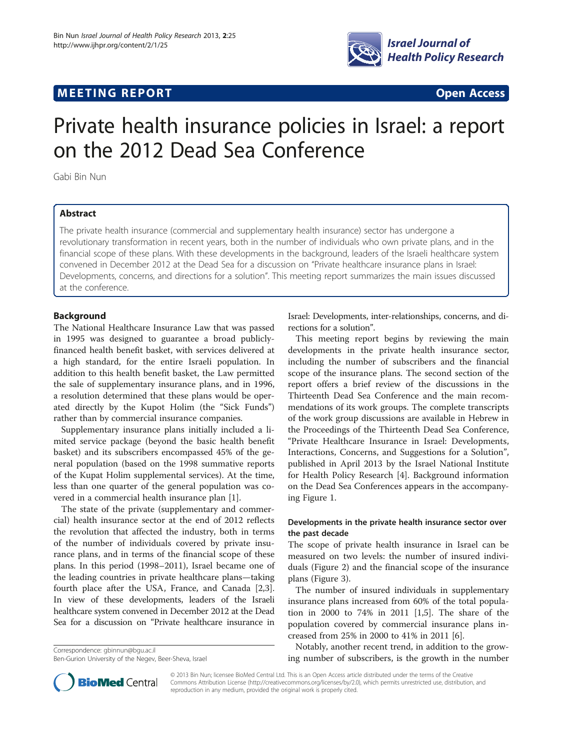# **MEETING REPORT CONSUMING A REPORT** AND CONSUMING A REPORT OF A CONSUMING A REPORT OF A CONSUMING A REPORT OF A CONSUMING A REPORT OF A CONSUMING A REPORT OF A CONSUMING A REPORT OF A CONSUMING A REPORT OF A CONSUMING A RE



# Private health insurance policies in Israel: a report on the 2012 Dead Sea Conference

Gabi Bin Nun

# Abstract

The private health insurance (commercial and supplementary health insurance) sector has undergone a revolutionary transformation in recent years, both in the number of individuals who own private plans, and in the financial scope of these plans. With these developments in the background, leaders of the Israeli healthcare system convened in December 2012 at the Dead Sea for a discussion on "Private healthcare insurance plans in Israel: Developments, concerns, and directions for a solution". This meeting report summarizes the main issues discussed at the conference.

# Background

The National Healthcare Insurance Law that was passed in 1995 was designed to guarantee a broad publiclyfinanced health benefit basket, with services delivered at a high standard, for the entire Israeli population. In addition to this health benefit basket, the Law permitted the sale of supplementary insurance plans, and in 1996, a resolution determined that these plans would be operated directly by the Kupot Holim (the "Sick Funds") rather than by commercial insurance companies.

Supplementary insurance plans initially included a limited service package (beyond the basic health benefit basket) and its subscribers encompassed 45% of the general population (based on the 1998 summative reports of the Kupat Holim supplemental services). At the time, less than one quarter of the general population was covered in a commercial health insurance plan [[1\]](#page-4-0).

The state of the private (supplementary and commercial) health insurance sector at the end of 2012 reflects the revolution that affected the industry, both in terms of the number of individuals covered by private insurance plans, and in terms of the financial scope of these plans. In this period (1998–2011), Israel became one of the leading countries in private healthcare plans—taking fourth place after the USA, France, and Canada [\[2,3](#page-4-0)]. In view of these developments, leaders of the Israeli healthcare system convened in December 2012 at the Dead Sea for a discussion on "Private healthcare insurance in

Correspondence: [gbinnun@bgu.ac.il](mailto:gbinnun@bgu.ac.il) Ben-Gurion University of the Negev, Beer-Sheva, Israel Israel: Developments, inter-relationships, concerns, and directions for a solution".

This meeting report begins by reviewing the main developments in the private health insurance sector, including the number of subscribers and the financial scope of the insurance plans. The second section of the report offers a brief review of the discussions in the Thirteenth Dead Sea Conference and the main recommendations of its work groups. The complete transcripts of the work group discussions are available in Hebrew in the Proceedings of the Thirteenth Dead Sea Conference, "Private Healthcare Insurance in Israel: Developments, Interactions, Concerns, and Suggestions for a Solution", published in April 2013 by the Israel National Institute for Health Policy Research [\[4](#page-4-0)]. Background information on the Dead Sea Conferences appears in the accompanying Figure [1.](#page-1-0)

# Developments in the private health insurance sector over the past decade

The scope of private health insurance in Israel can be measured on two levels: the number of insured individuals (Figure [2\)](#page-1-0) and the financial scope of the insurance plans (Figure [3\)](#page-2-0).

The number of insured individuals in supplementary insurance plans increased from 60% of the total population in 2000 to 74% in 2011 [\[1](#page-4-0),[5](#page-4-0)]. The share of the population covered by commercial insurance plans increased from 25% in 2000 to 41% in 2011 [\[6](#page-4-0)].

Notably, another recent trend, in addition to the growing number of subscribers, is the growth in the number



© 2013 Bin Nun; licensee BioMed Central Ltd. This is an Open Access article distributed under the terms of the Creative Commons Attribution License [\(http://creativecommons.org/licenses/by/2.0\)](http://creativecommons.org/licenses/by/2.0), which permits unrestricted use, distribution, and reproduction in any medium, provided the original work is properly cited.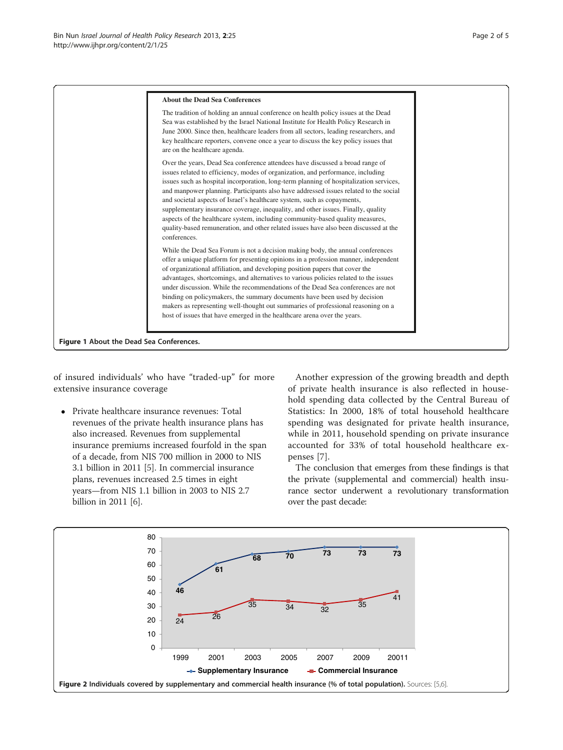<span id="page-1-0"></span>

of insured individuals' who have "traded-up" for more extensive insurance coverage

 Private healthcare insurance revenues: Total revenues of the private health insurance plans has also increased. Revenues from supplemental insurance premiums increased fourfold in the span of a decade, from NIS 700 million in 2000 to NIS 3.1 billion in 2011 [[5](#page-4-0)]. In commercial insurance plans, revenues increased 2.5 times in eight years—from NIS 1.1 billion in 2003 to NIS 2.7 billion in 2011 [[6\]](#page-4-0).

Another expression of the growing breadth and depth of private health insurance is also reflected in household spending data collected by the Central Bureau of Statistics: In 2000, 18% of total household healthcare spending was designated for private health insurance, while in 2011, household spending on private insurance accounted for 33% of total household healthcare expenses [\[7](#page-4-0)].

The conclusion that emerges from these findings is that the private (supplemental and commercial) health insurance sector underwent a revolutionary transformation over the past decade:

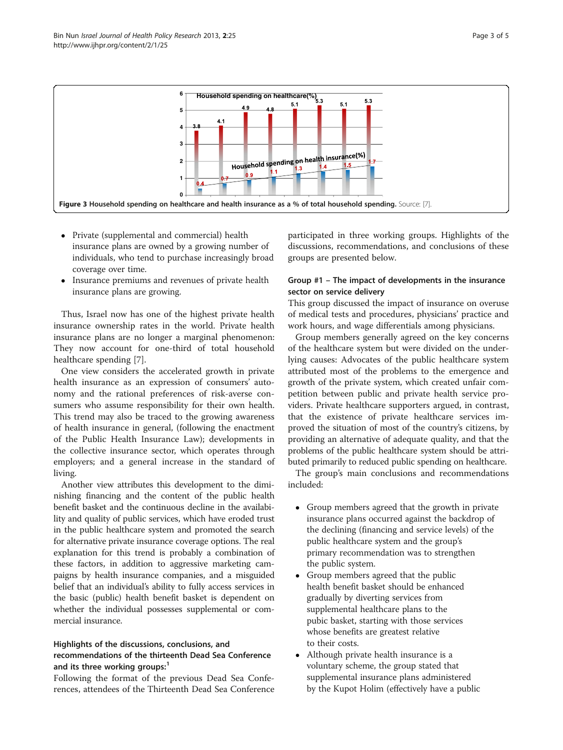<span id="page-2-0"></span>

- Private (supplemental and commercial) health insurance plans are owned by a growing number of individuals, who tend to purchase increasingly broad coverage over time.
- Insurance premiums and revenues of private health insurance plans are growing.

Thus, Israel now has one of the highest private health insurance ownership rates in the world. Private health insurance plans are no longer a marginal phenomenon: They now account for one-third of total household healthcare spending [[7](#page-4-0)].

One view considers the accelerated growth in private health insurance as an expression of consumers' autonomy and the rational preferences of risk-averse consumers who assume responsibility for their own health. This trend may also be traced to the growing awareness of health insurance in general, (following the enactment of the Public Health Insurance Law); developments in the collective insurance sector, which operates through employers; and a general increase in the standard of living.

Another view attributes this development to the diminishing financing and the content of the public health benefit basket and the continuous decline in the availability and quality of public services, which have eroded trust in the public healthcare system and promoted the search for alternative private insurance coverage options. The real explanation for this trend is probably a combination of these factors, in addition to aggressive marketing campaigns by health insurance companies, and a misguided belief that an individual's ability to fully access services in the basic (public) health benefit basket is dependent on whether the individual possesses supplemental or commercial insurance.

# Highlights of the discussions, conclusions, and recommendations of the thirteenth Dead Sea Conference and its three working groups:

Following the format of the previous Dead Sea Conferences, attendees of the Thirteenth Dead Sea Conference participated in three working groups. Highlights of the discussions, recommendations, and conclusions of these groups are presented below.

# Group #1 – The impact of developments in the insurance sector on service delivery

This group discussed the impact of insurance on overuse of medical tests and procedures, physicians' practice and work hours, and wage differentials among physicians.

Group members generally agreed on the key concerns of the healthcare system but were divided on the underlying causes: Advocates of the public healthcare system attributed most of the problems to the emergence and growth of the private system, which created unfair competition between public and private health service providers. Private healthcare supporters argued, in contrast, that the existence of private healthcare services improved the situation of most of the country's citizens, by providing an alternative of adequate quality, and that the problems of the public healthcare system should be attributed primarily to reduced public spending on healthcare.

The group's main conclusions and recommendations included:

- Group members agreed that the growth in private insurance plans occurred against the backdrop of the declining (financing and service levels) of the public healthcare system and the group's primary recommendation was to strengthen the public system.
- Group members agreed that the public health benefit basket should be enhanced gradually by diverting services from supplemental healthcare plans to the pubic basket, starting with those services whose benefits are greatest relative to their costs.
- Although private health insurance is a voluntary scheme, the group stated that supplemental insurance plans administered by the Kupot Holim (effectively have a public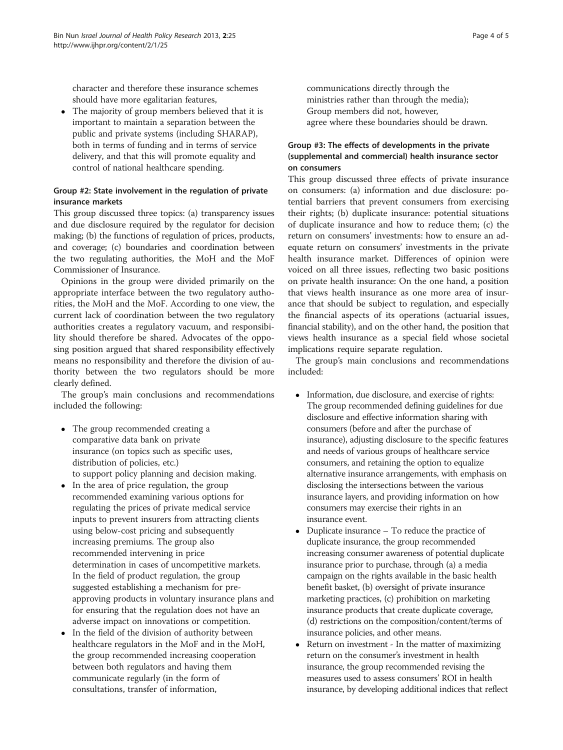character and therefore these insurance schemes should have more egalitarian features,

• The majority of group members believed that it is important to maintain a separation between the public and private systems (including SHARAP), both in terms of funding and in terms of service delivery, and that this will promote equality and control of national healthcare spending.

# Group #2: State involvement in the regulation of private insurance markets

This group discussed three topics: (a) transparency issues and due disclosure required by the regulator for decision making; (b) the functions of regulation of prices, products, and coverage; (c) boundaries and coordination between the two regulating authorities, the MoH and the MoF Commissioner of Insurance.

Opinions in the group were divided primarily on the appropriate interface between the two regulatory authorities, the MoH and the MoF. According to one view, the current lack of coordination between the two regulatory authorities creates a regulatory vacuum, and responsibility should therefore be shared. Advocates of the opposing position argued that shared responsibility effectively means no responsibility and therefore the division of authority between the two regulators should be more clearly defined.

The group's main conclusions and recommendations included the following:

- The group recommended creating a comparative data bank on private insurance (on topics such as specific uses, distribution of policies, etc.) to support policy planning and decision making.
- In the area of price regulation, the group recommended examining various options for regulating the prices of private medical service inputs to prevent insurers from attracting clients using below-cost pricing and subsequently increasing premiums. The group also recommended intervening in price determination in cases of uncompetitive markets. In the field of product regulation, the group suggested establishing a mechanism for preapproving products in voluntary insurance plans and for ensuring that the regulation does not have an adverse impact on innovations or competition.
- In the field of the division of authority between healthcare regulators in the MoF and in the MoH, the group recommended increasing cooperation between both regulators and having them communicate regularly (in the form of consultations, transfer of information,

communications directly through the ministries rather than through the media); Group members did not, however, agree where these boundaries should be drawn.

# Group #3: The effects of developments in the private (supplemental and commercial) health insurance sector on consumers

This group discussed three effects of private insurance on consumers: (a) information and due disclosure: potential barriers that prevent consumers from exercising their rights; (b) duplicate insurance: potential situations of duplicate insurance and how to reduce them; (c) the return on consumers' investments: how to ensure an adequate return on consumers' investments in the private health insurance market. Differences of opinion were voiced on all three issues, reflecting two basic positions on private health insurance: On the one hand, a position that views health insurance as one more area of insurance that should be subject to regulation, and especially the financial aspects of its operations (actuarial issues, financial stability), and on the other hand, the position that views health insurance as a special field whose societal implications require separate regulation.

The group's main conclusions and recommendations included:

- Information, due disclosure, and exercise of rights: The group recommended defining guidelines for due disclosure and effective information sharing with consumers (before and after the purchase of insurance), adjusting disclosure to the specific features and needs of various groups of healthcare service consumers, and retaining the option to equalize alternative insurance arrangements, with emphasis on disclosing the intersections between the various insurance layers, and providing information on how consumers may exercise their rights in an insurance event.
- Duplicate insurance To reduce the practice of duplicate insurance, the group recommended increasing consumer awareness of potential duplicate insurance prior to purchase, through (a) a media campaign on the rights available in the basic health benefit basket, (b) oversight of private insurance marketing practices, (c) prohibition on marketing insurance products that create duplicate coverage, (d) restrictions on the composition/content/terms of insurance policies, and other means.
- Return on investment In the matter of maximizing return on the consumer's investment in health insurance, the group recommended revising the measures used to assess consumers' ROI in health insurance, by developing additional indices that reflect